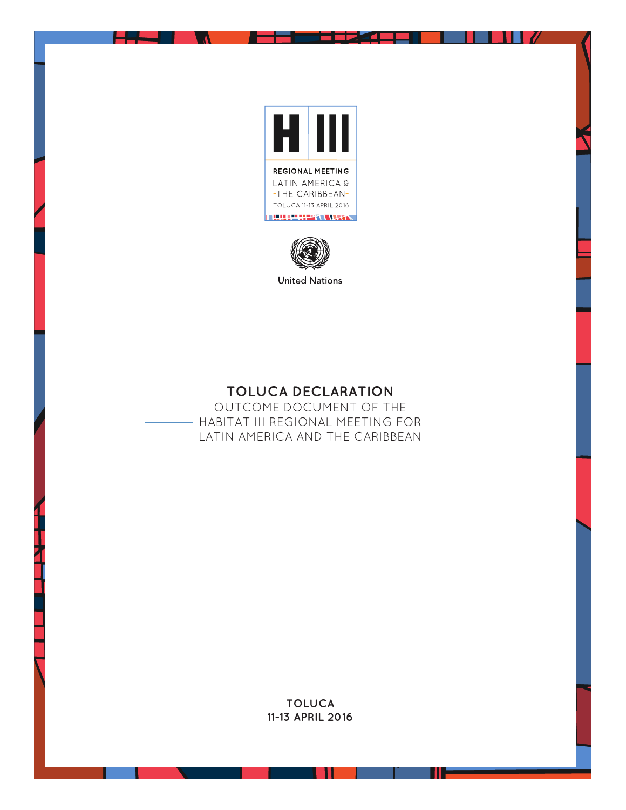



**TOLUCA DECLARATION** 

OUTCOME DOCUMENT OF THE - HABITAT III REGIONAL MEETING FOR -LATIN AMERICA AND THE CARIBBEAN

> **TOLUCA 11-13 APRIL 2016**

> > ш

ш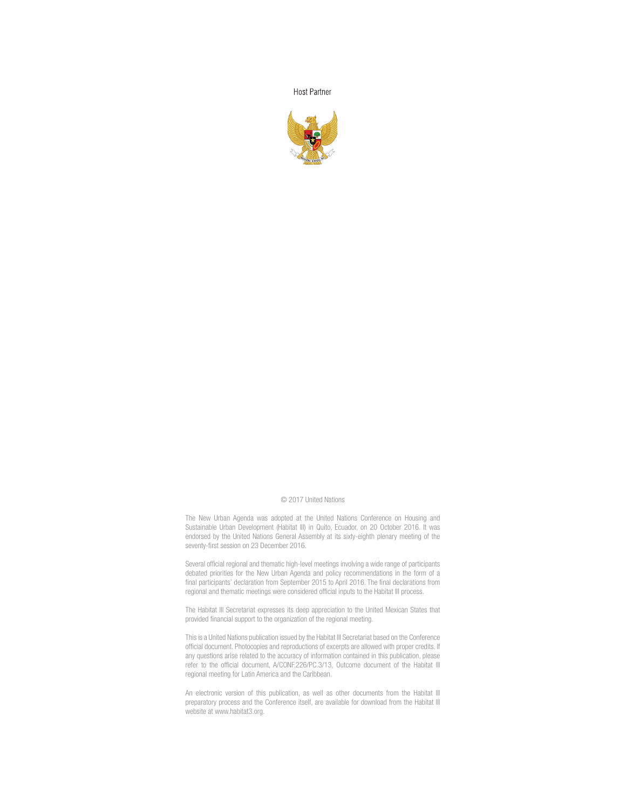**Host Partner** 



#### © 2017 United Nations

The New Urban Agenda was adopted at the United Nations Conference on Housing and Sustainable Urban Development (Habitat III) in Quito, Ecuador, on 20 October 2016. It was endorsed by the United Nations General Assembly at its sixty-eighth plenary meeting of the seventy-first session on 23 December 2016.

Several official regional and thematic high-level meetings involving a wide range of participants debated priorities for the New Urban Agenda and policy recommendations in the form of a final participants' declaration from September 2015 to April 2016. The final declarations from regional and thematic meetings were considered official inputs to the Habitat III process.

The Habitat III Secretariat expresses its deep appreciation to the United Mexican States that provided financial support to the organization of the regional meeting.

This is a United Nations publication issued by the Habitat III Secretariat based on the Conference official document. Photocopies and reproductions of excerpts are allowed with proper credits. If any questions arise related to the accuracy of information contained in this publication, please refer to the official document, A/CONF.226/PC.3/13, Outcome document of the Habitat III regional meeting for Latin America and the Caribbean.

An electronic version of this publication, as well as other documents from the Habitat III preparatory process and the Conference itself, are available for download from the Habitat III website at www.habitat3.org.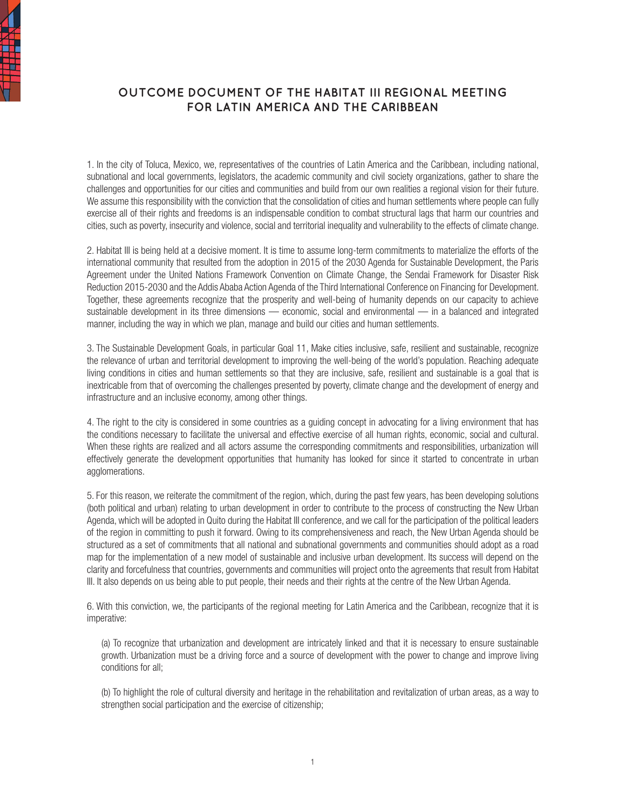

# **OUTCOME DOCUMENT OF THE HABITAT III REGIONAL MEETING FOR LATIN AMERICA AND THE CARIBBEAN**

1. In the city of Toluca, Mexico, we, representatives of the countries of Latin America and the Caribbean, including national, subnational and local governments, legislators, the academic community and civil society organizations, gather to share the challenges and opportunities for our cities and communities and build from our own realities a regional vision for their future. We assume this responsibility with the conviction that the consolidation of cities and human settlements where people can fully exercise all of their rights and freedoms is an indispensable condition to combat structural lags that harm our countries and cities, such as poverty, insecurity and violence, social and territorial inequality and vulnerability to the effects of climate change.

2. Habitat III is being held at a decisive moment. It is time to assume long-term commitments to materialize the efforts of the international community that resulted from the adoption in 2015 of the 2030 Agenda for Sustainable Development, the Paris Agreement under the United Nations Framework Convention on Climate Change, the Sendai Framework for Disaster Risk Reduction 2015-2030 and the Addis Ababa Action Agenda of the Third International Conference on Financing for Development. Together, these agreements recognize that the prosperity and well-being of humanity depends on our capacity to achieve sustainable development in its three dimensions — economic, social and environmental — in a balanced and integrated manner, including the way in which we plan, manage and build our cities and human settlements.

3. The Sustainable Development Goals, in particular Goal 11, Make cities inclusive, safe, resilient and sustainable, recognize the relevance of urban and territorial development to improving the well-being of the world's population. Reaching adequate living conditions in cities and human settlements so that they are inclusive, safe, resilient and sustainable is a goal that is inextricable from that of overcoming the challenges presented by poverty, climate change and the development of energy and infrastructure and an inclusive economy, among other things.

4. The right to the city is considered in some countries as a guiding concept in advocating for a living environment that has the conditions necessary to facilitate the universal and effective exercise of all human rights, economic, social and cultural. When these rights are realized and all actors assume the corresponding commitments and responsibilities, urbanization will effectively generate the development opportunities that humanity has looked for since it started to concentrate in urban agglomerations.

5. For this reason, we reiterate the commitment of the region, which, during the past few years, has been developing solutions (both political and urban) relating to urban development in order to contribute to the process of constructing the New Urban Agenda, which will be adopted in Quito during the Habitat III conference, and we call for the participation of the political leaders of the region in committing to push it forward. Owing to its comprehensiveness and reach, the New Urban Agenda should be structured as a set of commitments that all national and subnational governments and communities should adopt as a road map for the implementation of a new model of sustainable and inclusive urban development. Its success will depend on the clarity and forcefulness that countries, governments and communities will project onto the agreements that result from Habitat III. It also depends on us being able to put people, their needs and their rights at the centre of the New Urban Agenda.

6. With this conviction, we, the participants of the regional meeting for Latin America and the Caribbean, recognize that it is imperative:

(a) To recognize that urbanization and development are intricately linked and that it is necessary to ensure sustainable growth. Urbanization must be a driving force and a source of development with the power to change and improve living conditions for all;

(b) To highlight the role of cultural diversity and heritage in the rehabilitation and revitalization of urban areas, as a way to strengthen social participation and the exercise of citizenship;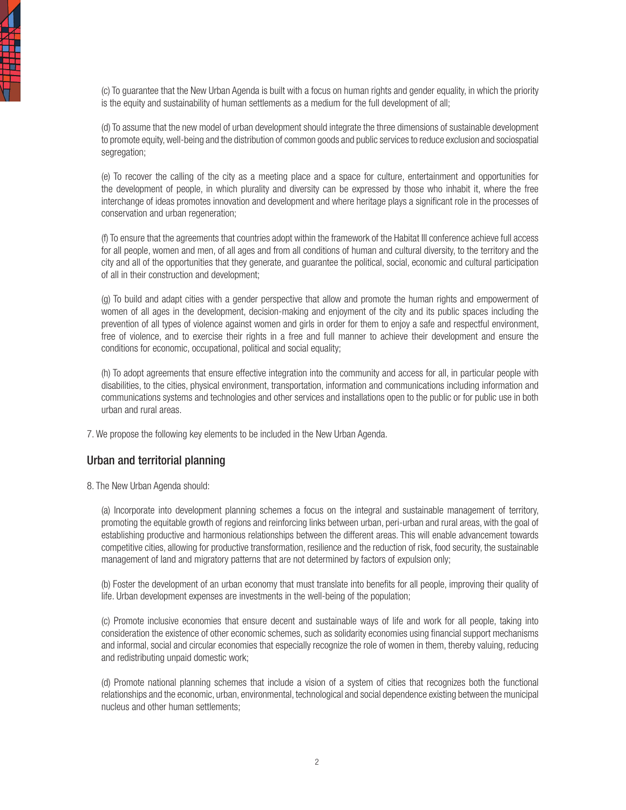(c) To guarantee that the New Urban Agenda is built with a focus on human rights and gender equality, in which the priority is the equity and sustainability of human settlements as a medium for the full development of all:

(d) To assume that the new model of urban development should integrate the three dimensions of sustainable development to promote equity, well-being and the distribution of common goods and public services to reduce exclusion and sociospatial segregation;

(e) To recover the calling of the city as a meeting place and a space for culture, entertainment and opportunities for the development of people, in which plurality and diversity can be expressed by those who inhabit it, where the free interchange of ideas promotes innovation and development and where heritage plays a significant role in the processes of conservation and urban regeneration;

(f) To ensure that the agreements that countries adopt within the framework of the Habitat III conference achieve full access for all people, women and men, of all ages and from all conditions of human and cultural diversity, to the territory and the city and all of the opportunities that they generate, and guarantee the political, social, economic and cultural participation of all in their construction and development;

(g) To build and adapt cities with a gender perspective that allow and promote the human rights and empowerment of women of all ages in the development, decision-making and enjoyment of the city and its public spaces including the prevention of all types of violence against women and girls in order for them to enjoy a safe and respectful environment, free of violence, and to exercise their rights in a free and full manner to achieve their development and ensure the conditions for economic, occupational, political and social equality;

(h) To adopt agreements that ensure effective integration into the community and access for all, in particular people with disabilities, to the cities, physical environment, transportation, information and communications including information and communications systems and technologies and other services and installations open to the public or for public use in both urban and rural areas.

7. We propose the following key elements to be included in the New Urban Agenda.

# Urban and territorial planning

8. The New Urban Agenda should:

(a) Incorporate into development planning schemes a focus on the integral and sustainable management of territory, promoting the equitable growth of regions and reinforcing links between urban, peri-urban and rural areas, with the goal of establishing productive and harmonious relationships between the different areas. This will enable advancement towards competitive cities, allowing for productive transformation, resilience and the reduction of risk, food security, the sustainable management of land and migratory patterns that are not determined by factors of expulsion only;

(b) Foster the development of an urban economy that must translate into benefits for all people, improving their quality of life. Urban development expenses are investments in the well-being of the population;

(c) Promote inclusive economies that ensure decent and sustainable ways of life and work for all people, taking into consideration the existence of other economic schemes, such as solidarity economies using financial support mechanisms and informal, social and circular economies that especially recognize the role of women in them, thereby valuing, reducing and redistributing unpaid domestic work;

(d) Promote national planning schemes that include a vision of a system of cities that recognizes both the functional relationships and the economic, urban, environmental, technological and social dependence existing between the municipal nucleus and other human settlements;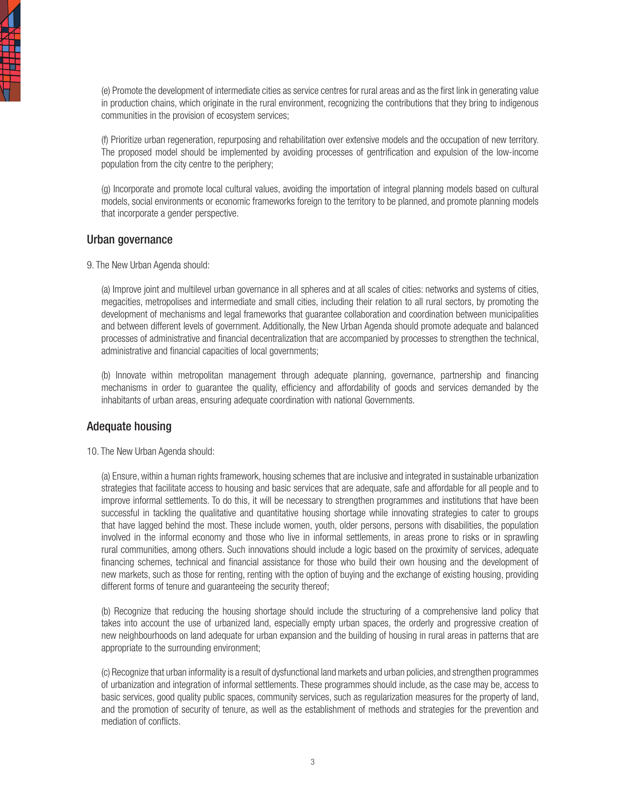

(e) Promote the development of intermediate cities as service centres for rural areas and as the first link in generating value in production chains, which originate in the rural environment, recognizing the contributions that they bring to indigenous communities in the provision of ecosystem services;

(f) Prioritize urban regeneration, repurposing and rehabilitation over extensive models and the occupation of new territory. The proposed model should be implemented by avoiding processes of gentrification and expulsion of the low-income population from the city centre to the periphery;

(g) Incorporate and promote local cultural values, avoiding the importation of integral planning models based on cultural models, social environments or economic frameworks foreign to the territory to be planned, and promote planning models that incorporate a gender perspective.

#### Urban governance

9. The New Urban Agenda should:

(a) Improve joint and multilevel urban governance in all spheres and at all scales of cities: networks and systems of cities, megacities, metropolises and intermediate and small cities, including their relation to all rural sectors, by promoting the development of mechanisms and legal frameworks that guarantee collaboration and coordination between municipalities and between different levels of government. Additionally, the New Urban Agenda should promote adequate and balanced processes of administrative and financial decentralization that are accompanied by processes to strengthen the technical, administrative and financial capacities of local governments;

(b) Innovate within metropolitan management through adequate planning, governance, partnership and financing mechanisms in order to guarantee the quality, efficiency and affordability of goods and services demanded by the inhabitants of urban areas, ensuring adequate coordination with national Governments.

# Adequate housing

10. The New Urban Agenda should:

(a) Ensure, within a human rights framework, housing schemes that are inclusive and integrated in sustainable urbanization strategies that facilitate access to housing and basic services that are adequate, safe and affordable for all people and to improve informal settlements. To do this, it will be necessary to strengthen programmes and institutions that have been successful in tackling the qualitative and quantitative housing shortage while innovating strategies to cater to groups that have lagged behind the most. These include women, youth, older persons, persons with disabilities, the population involved in the informal economy and those who live in informal settlements, in areas prone to risks or in sprawling rural communities, among others. Such innovations should include a logic based on the proximity of services, adequate financing schemes, technical and financial assistance for those who build their own housing and the development of new markets, such as those for renting, renting with the option of buying and the exchange of existing housing, providing different forms of tenure and guaranteeing the security thereof;

(b) Recognize that reducing the housing shortage should include the structuring of a comprehensive land policy that takes into account the use of urbanized land, especially empty urban spaces, the orderly and progressive creation of new neighbourhoods on land adequate for urban expansion and the building of housing in rural areas in patterns that are appropriate to the surrounding environment;

(c) Recognize that urban informality is a result of dysfunctional land markets and urban policies, and strengthen programmes of urbanization and integration of informal settlements. These programmes should include, as the case may be, access to basic services, good quality public spaces, community services, such as regularization measures for the property of land, and the promotion of security of tenure, as well as the establishment of methods and strategies for the prevention and mediation of conflicts.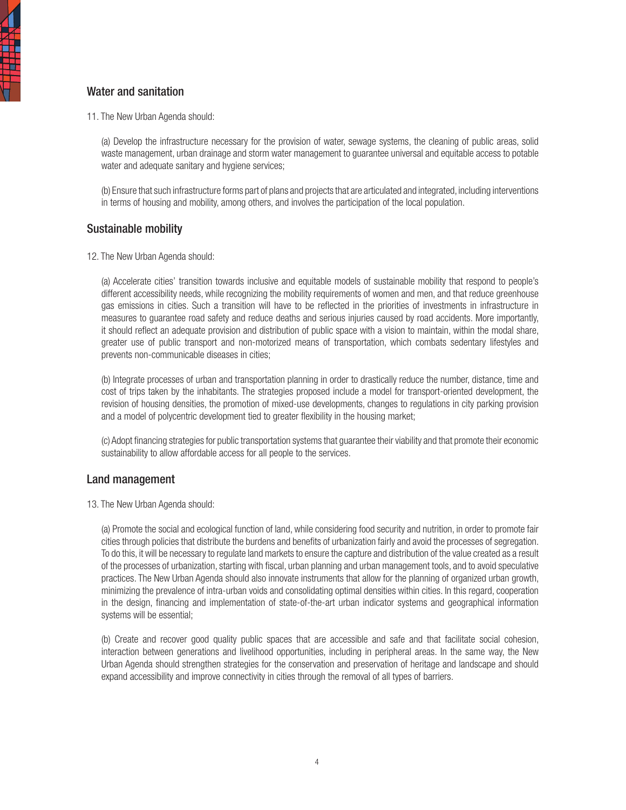# Water and sanitation

4<br>出

11. The New Urban Agenda should:

(a) Develop the infrastructure necessary for the provision of water, sewage systems, the cleaning of public areas, solid waste management, urban drainage and storm water management to guarantee universal and equitable access to potable water and adequate sanitary and hygiene services;

(b) Ensure that such infrastructure forms part of plans and projects that are articulated and integrated, including interventions in terms of housing and mobility, among others, and involves the participation of the local population.

### Sustainable mobility

12. The New Urban Agenda should:

(a) Accelerate cities' transition towards inclusive and equitable models of sustainable mobility that respond to people's different accessibility needs, while recognizing the mobility requirements of women and men, and that reduce greenhouse gas emissions in cities. Such a transition will have to be reflected in the priorities of investments in infrastructure in measures to guarantee road safety and reduce deaths and serious injuries caused by road accidents. More importantly, it should reflect an adequate provision and distribution of public space with a vision to maintain, within the modal share, greater use of public transport and non-motorized means of transportation, which combats sedentary lifestyles and prevents non-communicable diseases in cities;

(b) Integrate processes of urban and transportation planning in order to drastically reduce the number, distance, time and cost of trips taken by the inhabitants. The strategies proposed include a model for transport-oriented development, the revision of housing densities, the promotion of mixed-use developments, changes to regulations in city parking provision and a model of polycentric development tied to greater flexibility in the housing market;

(c) Adopt financing strategies for public transportation systems that guarantee their viability and that promote their economic sustainability to allow affordable access for all people to the services.

#### Land management

13. The New Urban Agenda should:

(a) Promote the social and ecological function of land, while considering food security and nutrition, in order to promote fair cities through policies that distribute the burdens and benefits of urbanization fairly and avoid the processes of segregation. To do this, it will be necessary to regulate land markets to ensure the capture and distribution of the value created as a result of the processes of urbanization, starting with fiscal, urban planning and urban management tools, and to avoid speculative practices. The New Urban Agenda should also innovate instruments that allow for the planning of organized urban growth, minimizing the prevalence of intra-urban voids and consolidating optimal densities within cities. In this regard, cooperation in the design, financing and implementation of state-of-the-art urban indicator systems and geographical information systems will be essential;

(b) Create and recover good quality public spaces that are accessible and safe and that facilitate social cohesion, interaction between generations and livelihood opportunities, including in peripheral areas. In the same way, the New Urban Agenda should strengthen strategies for the conservation and preservation of heritage and landscape and should expand accessibility and improve connectivity in cities through the removal of all types of barriers.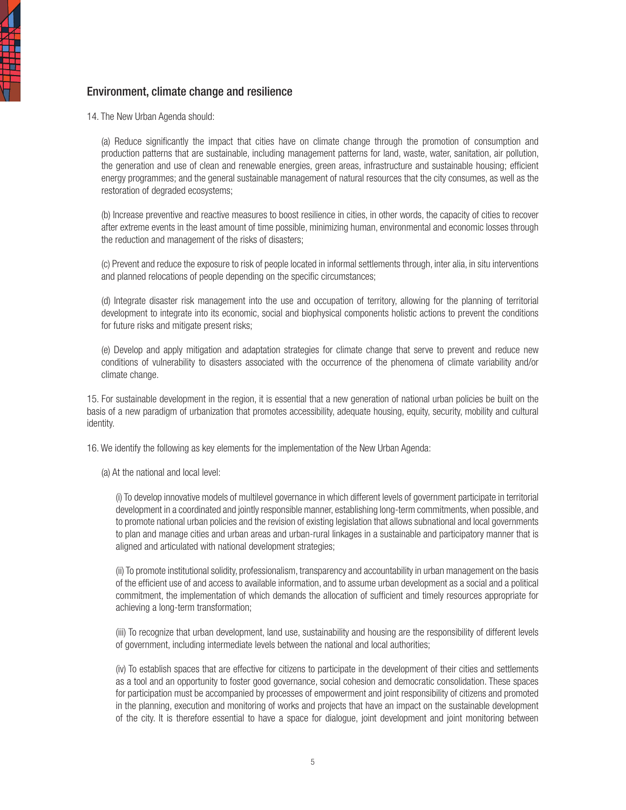# Environment, climate change and resilience

14. The New Urban Agenda should:

(a) Reduce significantly the impact that cities have on climate change through the promotion of consumption and production patterns that are sustainable, including management patterns for land, waste, water, sanitation, air pollution, the generation and use of clean and renewable energies, green areas, infrastructure and sustainable housing; efficient energy programmes; and the general sustainable management of natural resources that the city consumes, as well as the restoration of degraded ecosystems;

(b) Increase preventive and reactive measures to boost resilience in cities, in other words, the capacity of cities to recover after extreme events in the least amount of time possible, minimizing human, environmental and economic losses through the reduction and management of the risks of disasters;

(c) Prevent and reduce the exposure to risk of people located in informal settlements through, inter alia, in situ interventions and planned relocations of people depending on the specific circumstances;

(d) Integrate disaster risk management into the use and occupation of territory, allowing for the planning of territorial development to integrate into its economic, social and biophysical components holistic actions to prevent the conditions for future risks and mitigate present risks;

(e) Develop and apply mitigation and adaptation strategies for climate change that serve to prevent and reduce new conditions of vulnerability to disasters associated with the occurrence of the phenomena of climate variability and/or climate change.

15. For sustainable development in the region, it is essential that a new generation of national urban policies be built on the basis of a new paradigm of urbanization that promotes accessibility, adequate housing, equity, security, mobility and cultural identity.

16. We identify the following as key elements for the implementation of the New Urban Agenda:

(a) At the national and local level:

(i) To develop innovative models of multilevel governance in which different levels of government participate in territorial development in a coordinated and jointly responsible manner, establishing long-term commitments, when possible, and to promote national urban policies and the revision of existing legislation that allows subnational and local governments to plan and manage cities and urban areas and urban-rural linkages in a sustainable and participatory manner that is aligned and articulated with national development strategies;

(ii) To promote institutional solidity, professionalism, transparency and accountability in urban management on the basis of the efficient use of and access to available information, and to assume urban development as a social and a political commitment, the implementation of which demands the allocation of sufficient and timely resources appropriate for achieving a long-term transformation;

(iii) To recognize that urban development, land use, sustainability and housing are the responsibility of different levels of government, including intermediate levels between the national and local authorities;

(iv) To establish spaces that are effective for citizens to participate in the development of their cities and settlements as a tool and an opportunity to foster good governance, social cohesion and democratic consolidation. These spaces for participation must be accompanied by processes of empowerment and joint responsibility of citizens and promoted in the planning, execution and monitoring of works and projects that have an impact on the sustainable development of the city. It is therefore essential to have a space for dialogue, joint development and joint monitoring between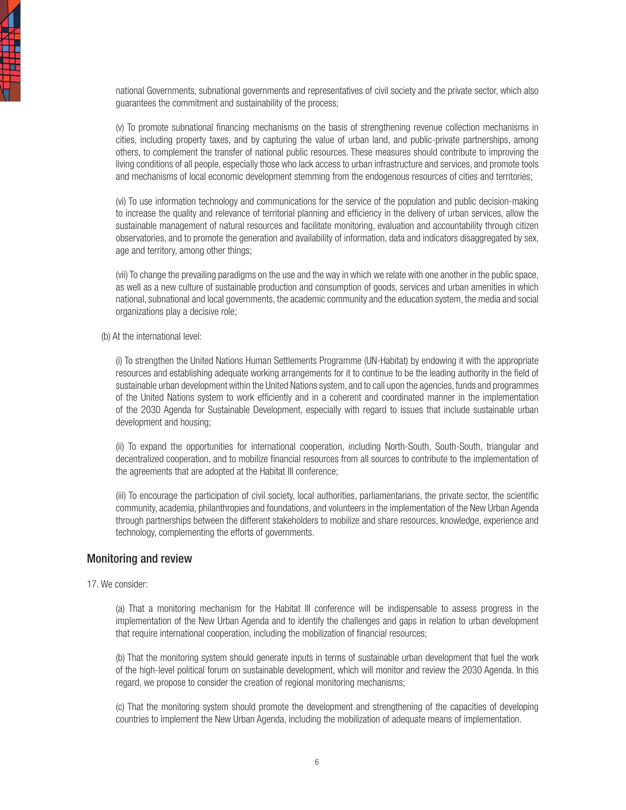national Governments, subnational governments and representatives of civil society and the private sector, which also guarantees the commitment and sustainability of the process;

(v) To promote subnational financing mechanisms on the basis of strengthening revenue collection mechanisms in cities, including property taxes, and by capturing the value of urban land, and public-private partnerships, among others, to complement the transfer of national public resources. These measures should contribute to improving the living conditions of all people, especially those who lack access to urban infrastructure and services, and promote tools and mechanisms of local economic development stemming from the endogenous resources of cities and territories;

(vi) To use information technology and communications for the service of the population and public decision-making to increase the quality and relevance of territorial planning and efficiency in the delivery of urban services, allow the sustainable management of natural resources and facilitate monitoring, evaluation and accountability through citizen observatories, and to promote the generation and availability of information, data and indicators disaggregated by sex, age and territory, among other things;

(vii) To change the prevailing paradigms on the use and the way in which we relate with one another in the public space, as well as a new culture of sustainable production and consumption of goods, services and urban amenities in which national, subnational and local governments, the academic community and the education system, the media and social organizations play a decisive role;

(b) At the international level:

(i) To strengthen the United Nations Human Settlements Programme (UN-Habitat) by endowing it with the appropriate resources and establishing adequate working arrangements for it to continue to be the leading authority in the field of sustainable urban development within the United Nations system, and to call upon the agencies, funds and programmes of the United Nations system to work efficiently and in a coherent and coordinated manner in the implementation of the 2030 Agenda for Sustainable Development, especially with regard to issues that include sustainable urban development and housing;

(ii) To expand the opportunities for international cooperation, including North-South, South-South, triangular and decentralized cooperation, and to mobilize financial resources from all sources to contribute to the implementation of the agreements that are adopted at the Habitat III conference;

(iii) To encourage the participation of civil society, local authorities, parliamentarians, the private sector, the scientific community, academia, philanthropies and foundations, and volunteers in the implementation of the New Urban Agenda through partnerships between the different stakeholders to mobilize and share resources, knowledge, experience and technology, complementing the efforts of governments.

#### Monitoring and review

#### 17. We consider:

(a) That a monitoring mechanism for the Habitat III conference will be indispensable to assess progress in the implementation of the New Urban Agenda and to identify the challenges and gaps in relation to urban development that require international cooperation, including the mobilization of financial resources;

(b) That the monitoring system should generate inputs in terms of sustainable urban development that fuel the work of the high-level political forum on sustainable development, which will monitor and review the 2030 Agenda. In this regard, we propose to consider the creation of regional monitoring mechanisms;

(c) That the monitoring system should promote the development and strengthening of the capacities of developing countries to implement the New Urban Agenda, including the mobilization of adequate means of implementation.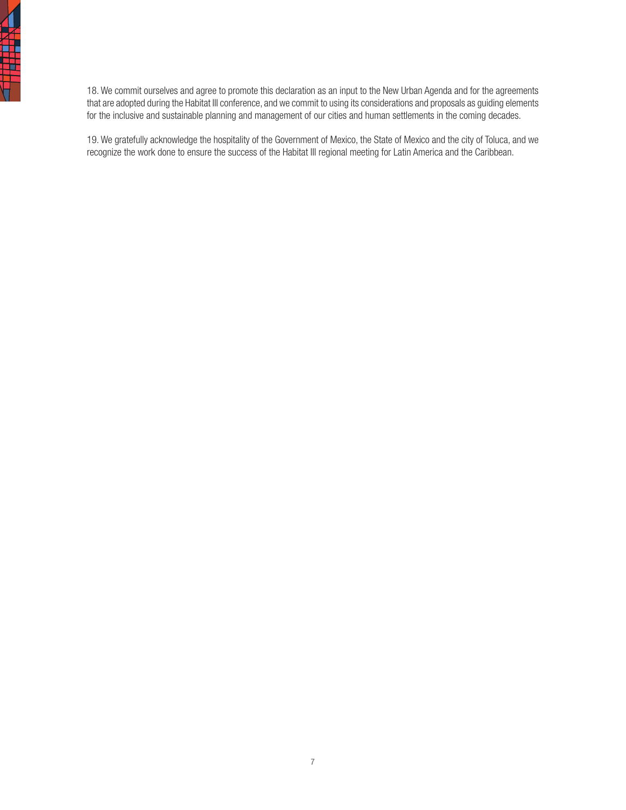

18. We commit ourselves and agree to promote this declaration as an input to the New Urban Agenda and for the agreements that are adopted during the Habitat III conference, and we commit to using its considerations and proposals as guiding elements for the inclusive and sustainable planning and management of our cities and human settlements in the coming decades.

19. We gratefully acknowledge the hospitality of the Government of Mexico, the State of Mexico and the city of Toluca, and we recognize the work done to ensure the success of the Habitat III regional meeting for Latin America and the Caribbean.